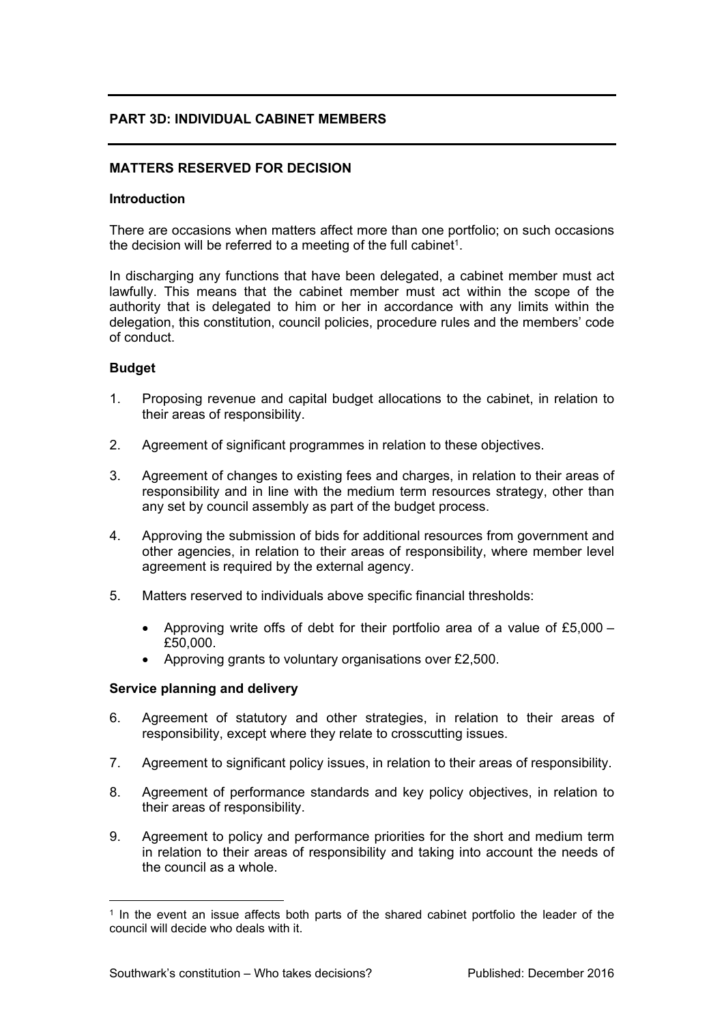## **PART 3D: INDIVIDUAL CABINET MEMBERS**

## **MATTERS RESERVED FOR DECISION**

#### **Introduction**

There are occasions when matters affect more than one portfolio; on such occasions the decision will be referred to a meeting of the full cabinet<sup>1</sup>.

In discharging any functions that have been delegated, a cabinet member must act lawfully. This means that the cabinet member must act within the scope of the authority that is delegated to him or her in accordance with any limits within the delegation, this constitution, council policies, procedure rules and the members' code of conduct.

#### **Budget**

- 1. Proposing revenue and capital budget allocations to the cabinet, in relation to their areas of responsibility.
- 2. Agreement of significant programmes in relation to these objectives.
- 3. Agreement of changes to existing fees and charges, in relation to their areas of responsibility and in line with the medium term resources strategy, other than any set by council assembly as part of the budget process.
- 4. Approving the submission of bids for additional resources from government and other agencies, in relation to their areas of responsibility, where member level agreement is required by the external agency.
- 5. Matters reserved to individuals above specific financial thresholds:
	- Approving write offs of debt for their portfolio area of a value of £5,000 £50,000.
	- Approving grants to voluntary organisations over £2,500.

#### **Service planning and delivery**

- 6. Agreement of statutory and other strategies, in relation to their areas of responsibility, except where they relate to crosscutting issues.
- 7. Agreement to significant policy issues, in relation to their areas of responsibility.
- 8. Agreement of performance standards and key policy objectives, in relation to their areas of responsibility.
- 9. Agreement to policy and performance priorities for the short and medium term in relation to their areas of responsibility and taking into account the needs of the council as a whole.

<sup>1</sup> In the event an issue affects both parts of the shared cabinet portfolio the leader of the council will decide who deals with it.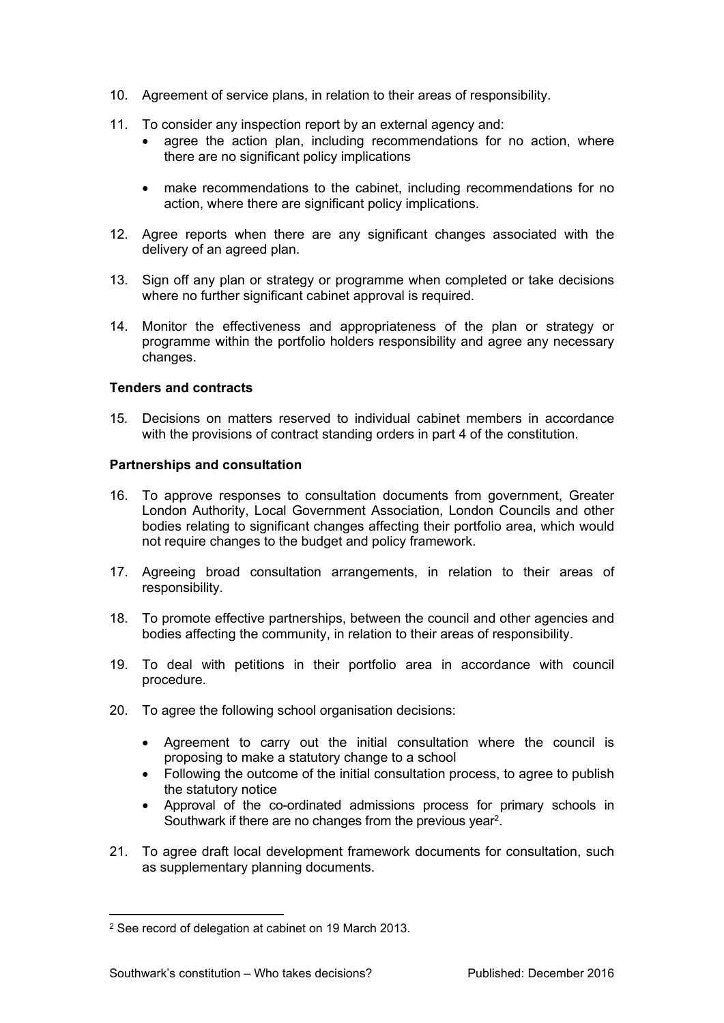- 10. Agreement of service plans, in relation to their areas of responsibility.
- 11. To consider any inspection report by an external agency and:
	- agree the action plan, including recommendations for no action, where there are no significant policy implications
	- make recommendations to the cabinet, including recommendations for no action, where there are significant policy implications.
- 12. Agree reports when there are any significant changes associated with the delivery of an agreed plan.
- 13. Sign off any plan or strategy or programme when completed or take decisions where no further significant cabinet approval is required.
- 14. Monitor the effectiveness and appropriateness of the plan or strategy or programme within the portfolio holders responsibility and agree any necessary changes.

### **Tenders and contracts**

15. Decisions on matters reserved to individual cabinet members in accordance with the provisions of contract standing orders in part 4 of the constitution.

#### **Partnerships and consultation**

- 16. To approve responses to consultation documents from government, Greater London Authority, Local Government Association, London Councils and other bodies relating to significant changes affecting their portfolio area, which would not require changes to the budget and policy framework.
- 17. Agreeing broad consultation arrangements, in relation to their areas of responsibility.
- 18. To promote effective partnerships, between the council and other agencies and bodies affecting the community, in relation to their areas of responsibility.
- 19. To deal with petitions in their portfolio area in accordance with council procedure.
- 20. To agree the following school organisation decisions:
	- Agreement to carry out the initial consultation where the council is proposing to make a statutory change to a school
	- Following the outcome of the initial consultation process, to agree to publish the statutory notice
	- Approval of the co-ordinated admissions process for primary schools in Southwark if there are no changes from the previous year<sup>2</sup>.
- 21. To agree draft local development framework documents for consultation, such as supplementary planning documents.

<sup>2</sup> See record of delegation at cabinet on 19 March 2013.